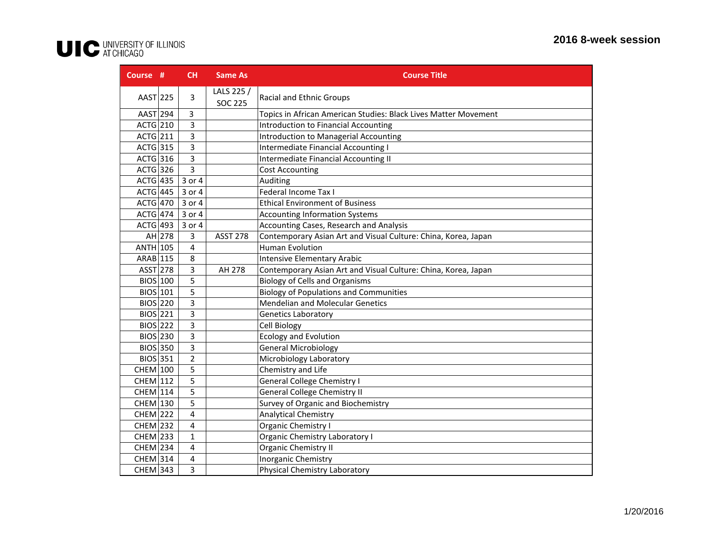| Course #        |        | <b>CH</b>      | <b>Same As</b>               | <b>Course Title</b>                                             |
|-----------------|--------|----------------|------------------------------|-----------------------------------------------------------------|
| AAST 225        |        | 3              | LALS 225 /<br><b>SOC 225</b> | <b>Racial and Ethnic Groups</b>                                 |
| AAST 294        |        | 3              |                              | Topics in African American Studies: Black Lives Matter Movement |
| $ACTG$  210     |        | 3              |                              | <b>Introduction to Financial Accounting</b>                     |
| $ACTG$  211     |        | 3              |                              | <b>Introduction to Managerial Accounting</b>                    |
| $ACTG$ 315      |        | 3              |                              | <b>Intermediate Financial Accounting I</b>                      |
| $ACTG$ 316      |        | 3              |                              | Intermediate Financial Accounting II                            |
| $ACTG$ 326      |        | 3              |                              | <b>Cost Accounting</b>                                          |
| $ACTG$ 435      |        | 3 or 4         |                              | Auditing                                                        |
| <b>ACTG 445</b> |        | 3 or 4         |                              | Federal Income Tax I                                            |
| $ACTG$ 470      |        | 3 or 4         |                              | <b>Ethical Environment of Business</b>                          |
| $ACTG$ 474      |        | 3 or 4         |                              | <b>Accounting Information Systems</b>                           |
| $ACTG$ 493      |        | 3 or 4         |                              | Accounting Cases, Research and Analysis                         |
|                 | AH 278 | 3              | <b>ASST 278</b>              | Contemporary Asian Art and Visual Culture: China, Korea, Japan  |
| $ANTH$ 105      |        | $\overline{4}$ |                              | <b>Human Evolution</b>                                          |
| ARAB 115        |        | 8              |                              | <b>Intensive Elementary Arabic</b>                              |
| $ASST$ 278      |        | 3              | AH 278                       | Contemporary Asian Art and Visual Culture: China, Korea, Japan  |
| BIOS 100        |        | 5              |                              | <b>Biology of Cells and Organisms</b>                           |
| BIOS 101        |        | 5              |                              | <b>Biology of Populations and Communities</b>                   |
| <b>BIOS</b> 220 |        | 3              |                              | <b>Mendelian and Molecular Genetics</b>                         |
| BIOS 221        |        | 3              |                              | <b>Genetics Laboratory</b>                                      |
| <b>BIOS</b> 222 |        | 3              |                              | Cell Biology                                                    |
| <b>BIOS</b> 230 |        | 3              |                              | <b>Ecology and Evolution</b>                                    |
| <b>BIOS 350</b> |        | 3              |                              | <b>General Microbiology</b>                                     |
| BIOS 351        |        | $\overline{2}$ |                              | Microbiology Laboratory                                         |
| <b>CHEM</b> 100 |        | 5              |                              | Chemistry and Life                                              |
| <b>CHEM 112</b> |        | 5              |                              | <b>General College Chemistry I</b>                              |
| $CHEM$ 114      |        | 5              |                              | <b>General College Chemistry II</b>                             |
| <b>CHEM 130</b> |        | 5              |                              | Survey of Organic and Biochemistry                              |
| $CHEM$ 222      |        | 4              |                              | <b>Analytical Chemistry</b>                                     |
| $CHEM$ 232      |        | $\overline{4}$ |                              | Organic Chemistry I                                             |
| $CHEM$ 233      |        | 1              |                              | Organic Chemistry Laboratory I                                  |
| <b>CHEM</b> 234 |        | 4              |                              | Organic Chemistry II                                            |
| $CHEM$ 314      |        | 4              |                              | Inorganic Chemistry                                             |
| <b>CHEM</b> 343 |        | 3              |                              | <b>Physical Chemistry Laboratory</b>                            |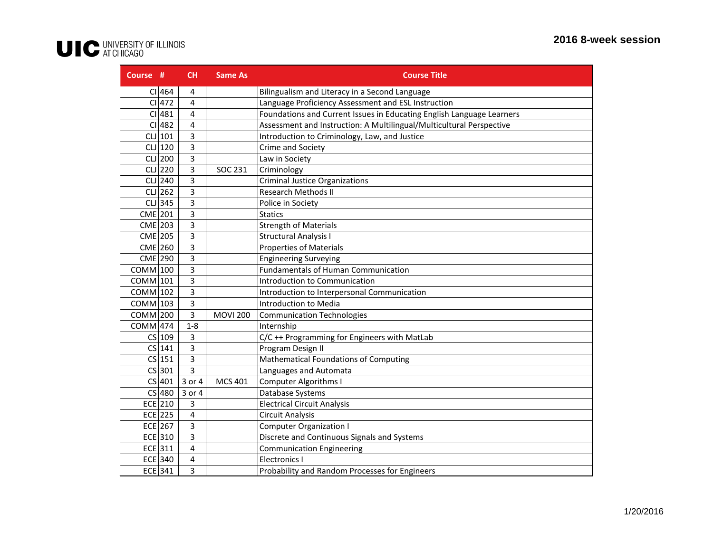| Course #   |            | <b>CH</b>      | <b>Same As</b>  | <b>Course Title</b>                                                   |
|------------|------------|----------------|-----------------|-----------------------------------------------------------------------|
|            | CI 464     | 4              |                 | Bilingualism and Literacy in a Second Language                        |
|            | CI 472     | $\overline{4}$ |                 | Language Proficiency Assessment and ESL Instruction                   |
|            | CI 481     | 4              |                 | Foundations and Current Issues in Educating English Language Learners |
|            | CI 482     | 4              |                 | Assessment and Instruction: A Multilingual/Multicultural Perspective  |
|            | $CLJ$ 101  | 3              |                 | Introduction to Criminology, Law, and Justice                         |
|            | $CL$ $120$ | 3              |                 | Crime and Society                                                     |
|            | $CLJ$ 200  | 3              |                 | Law in Society                                                        |
|            | $CLJ$ 220  | 3              | SOC 231         | Criminology                                                           |
|            | $CLJ$ 240  | 3              |                 | <b>Criminal Justice Organizations</b>                                 |
|            | $CLJ$ 262  | 3              |                 | <b>Research Methods II</b>                                            |
|            | $CL$ 345   | 3              |                 | Police in Society                                                     |
| CME 201    |            | 3              |                 | <b>Statics</b>                                                        |
| $CME$ 203  |            | 3              |                 | <b>Strength of Materials</b>                                          |
| CME 205    |            | 3              |                 | <b>Structural Analysis I</b>                                          |
| CME 260    |            | 3              |                 | <b>Properties of Materials</b>                                        |
| CME 290    |            | 3              |                 | <b>Engineering Surveying</b>                                          |
| $COMM$ 100 |            | 3              |                 | <b>Fundamentals of Human Communication</b>                            |
| COMM 101   |            | 3              |                 | Introduction to Communication                                         |
| $COMM$ 102 |            | 3              |                 | Introduction to Interpersonal Communication                           |
| $COMM$ 103 |            | 3              |                 | Introduction to Media                                                 |
| $COMM$ 200 |            | 3              | <b>MOVI 200</b> | <b>Communication Technologies</b>                                     |
| $COMM$ 474 |            | $1 - 8$        |                 | Internship                                                            |
|            | $CS$ 109   | 3              |                 | C/C ++ Programming for Engineers with MatLab                          |
|            | $CS$ 141   | $\overline{3}$ |                 | Program Design II                                                     |
|            | $CS$ 151   | 3              |                 | Mathematical Foundations of Computing                                 |
|            | $CS$ 301   | 3              |                 | Languages and Automata                                                |
|            | $CS$ 401   | 3 or 4         | <b>MCS 401</b>  | <b>Computer Algorithms I</b>                                          |
|            | CS 480     | 3 or 4         |                 | Database Systems                                                      |
|            | ECE 210    | 3              |                 | <b>Electrical Circuit Analysis</b>                                    |
|            | $ECE$ 225  | $\overline{4}$ |                 | <b>Circuit Analysis</b>                                               |
|            | $ECE$  267 | 3              |                 | <b>Computer Organization I</b>                                        |
|            | ECE 310    | 3              |                 | Discrete and Continuous Signals and Systems                           |
|            | $ECE$ 311  | 4              |                 | <b>Communication Engineering</b>                                      |
|            | ECE 340    | $\overline{4}$ |                 | <b>Electronics I</b>                                                  |
|            | $ECE$ 341  | 3              |                 | Probability and Random Processes for Engineers                        |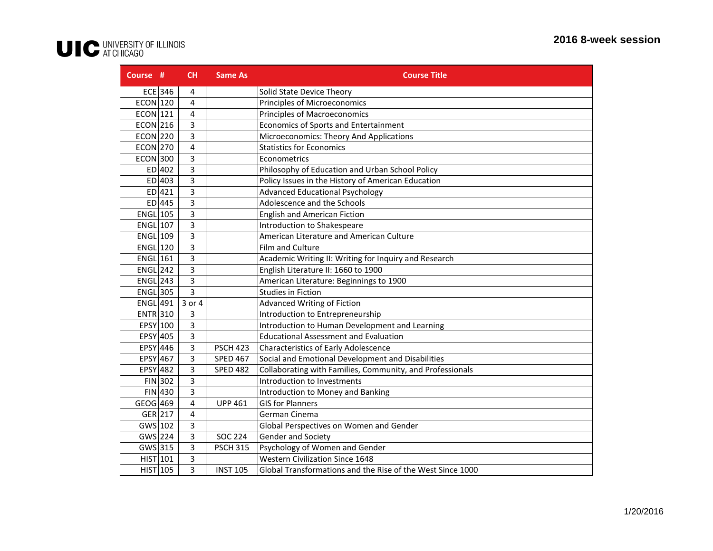| Course #        |           | <b>CH</b> | <b>Same As</b>  | <b>Course Title</b>                                        |
|-----------------|-----------|-----------|-----------------|------------------------------------------------------------|
|                 | ECE 346   | 4         |                 | Solid State Device Theory                                  |
| $ECON$ 120      |           | 4         |                 | Principles of Microeconomics                               |
| $ECON$ 121      |           | 4         |                 | Principles of Macroeconomics                               |
| $ECON$ 216      |           | 3         |                 | Economics of Sports and Entertainment                      |
| <b>ECON 220</b> |           | 3         |                 | Microeconomics: Theory And Applications                    |
| ECON 270        |           | 4         |                 | <b>Statistics for Economics</b>                            |
| $ECON$ 300      |           | 3         |                 | Econometrics                                               |
|                 | ED 402    | 3         |                 | Philosophy of Education and Urban School Policy            |
|                 | $ED$ 403  | 3         |                 | Policy Issues in the History of American Education         |
|                 | $ED$ 421  | 3         |                 | <b>Advanced Educational Psychology</b>                     |
|                 | $ED$ 445  | 3         |                 | Adolescence and the Schools                                |
| $ENGL$ 105      |           | 3         |                 | <b>English and American Fiction</b>                        |
| $ENGL$ 107      |           | 3         |                 | Introduction to Shakespeare                                |
| $ENGL$ 109      |           | 3         |                 | American Literature and American Culture                   |
| $ENGL$ 120      |           | 3         |                 | Film and Culture                                           |
| $ENGL$ 161      |           | 3         |                 | Academic Writing II: Writing for Inquiry and Research      |
| <b>ENGL 242</b> |           | 3         |                 | English Literature II: 1660 to 1900                        |
| $ENGL$ 243      |           | 3         |                 | American Literature: Beginnings to 1900                    |
| $ENGL$ 305      |           | 3         |                 | Studies in Fiction                                         |
| <b>ENGL 491</b> |           | 3 or 4    |                 | <b>Advanced Writing of Fiction</b>                         |
| <b>ENTR</b> 310 |           | 3         |                 | Introduction to Entrepreneurship                           |
| EPSY 100        |           | 3         |                 | Introduction to Human Development and Learning             |
| EPSY 405        |           | 3         |                 | <b>Educational Assessment and Evaluation</b>               |
| $EPSY$ 446      |           | 3         | <b>PSCH 423</b> | <b>Characteristics of Early Adolescence</b>                |
| $EPSY$ 467      |           | 3         | <b>SPED 467</b> | Social and Emotional Development and Disabilities          |
| $EPSY$ 482      |           | 3         | <b>SPED 482</b> | Collaborating with Families, Community, and Professionals  |
|                 | $FIN$ 302 | 3         |                 | Introduction to Investments                                |
|                 | $FIN$ 430 | 3         |                 | Introduction to Money and Banking                          |
| $GEOG$ 469      |           | 4         | <b>UPP 461</b>  | <b>GIS for Planners</b>                                    |
| GER 217         |           | 4         |                 | German Cinema                                              |
| $GWS$ 102       |           | 3         |                 | Global Perspectives on Women and Gender                    |
| $GWS$ 224       |           | 3         | <b>SOC 224</b>  | Gender and Society                                         |
| GWS 315         |           | 3         | <b>PSCH 315</b> | Psychology of Women and Gender                             |
| $HIST$ 101      |           | 3         |                 | <b>Western Civilization Since 1648</b>                     |
| $HIST$ 105      |           | 3         | <b>INST 105</b> | Global Transformations and the Rise of the West Since 1000 |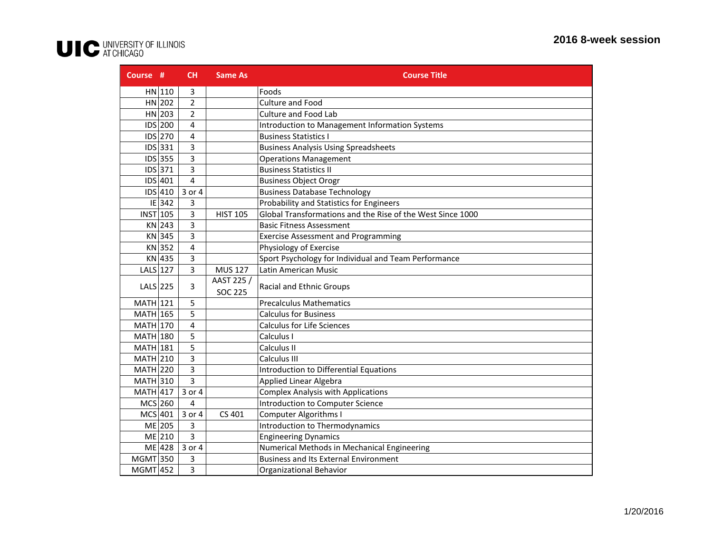| Course #        |           | <b>CH</b>      | <b>Same As</b>  | <b>Course Title</b>                                        |
|-----------------|-----------|----------------|-----------------|------------------------------------------------------------|
|                 | $HN$ 110  | 3              |                 | Foods                                                      |
|                 | $HN$ 202  | $\overline{2}$ |                 | Culture and Food                                           |
|                 | $HN$ 203  | $\overline{2}$ |                 | <b>Culture and Food Lab</b>                                |
|                 | IDS 200   | 4              |                 | Introduction to Management Information Systems             |
|                 | IDS 270   | 4              |                 | <b>Business Statistics I</b>                               |
|                 | IDS 331   | 3              |                 | <b>Business Analysis Using Spreadsheets</b>                |
|                 | $IDS$ 355 | 3              |                 | <b>Operations Management</b>                               |
|                 | IDS 371   | 3              |                 | <b>Business Statistics II</b>                              |
|                 | IDS 401   | $\overline{a}$ |                 | <b>Business Object Orogr</b>                               |
|                 | $IDS$ 410 | 3 or 4         |                 | <b>Business Database Technology</b>                        |
|                 | $IE$ 342  | 3              |                 | Probability and Statistics for Engineers                   |
| <b>INST 105</b> |           | 3              | <b>HIST 105</b> | Global Transformations and the Rise of the West Since 1000 |
|                 | KN 243    | 3              |                 | <b>Basic Fitness Assessment</b>                            |
|                 | KN 345    | 3              |                 | <b>Exercise Assessment and Programming</b>                 |
|                 | KN 352    | 4              |                 | Physiology of Exercise                                     |
|                 | KN 435    | 3              |                 | Sport Psychology for Individual and Team Performance       |
| $LALS$ 127      |           | 3              | <b>MUS 127</b>  | Latin American Music                                       |
| $LALS$ 225      |           | 3              | AAST 225 /      | Racial and Ethnic Groups                                   |
|                 |           |                | <b>SOC 225</b>  |                                                            |
| $MATH$ 121      |           | 5              |                 | <b>Precalculus Mathematics</b>                             |
| $MATH$ 165      |           | 5              |                 | <b>Calculus for Business</b>                               |
| $MATH$ 170      |           | 4              |                 | <b>Calculus for Life Sciences</b>                          |
| <b>MATH 180</b> |           | 5              |                 | Calculus I                                                 |
| $MATH$ 181      |           | 5              |                 | Calculus II                                                |
| $MATH$ 210      |           | 3              |                 | Calculus III                                               |
| $MATH$ 220      |           | 3              |                 | Introduction to Differential Equations                     |
| MATH 310        |           | 3              |                 | <b>Applied Linear Algebra</b>                              |
| $MATH$ 417      |           | 3 or 4         |                 | <b>Complex Analysis with Applications</b>                  |
| MCS 260         |           | 4              |                 | Introduction to Computer Science                           |
| $MCS$ 401       |           | 3 or 4         | CS 401          | <b>Computer Algorithms I</b>                               |
|                 | $ME$ 205  | 3              |                 | Introduction to Thermodynamics                             |
|                 | ME 210    | 3              |                 | <b>Engineering Dynamics</b>                                |
|                 | ME 428    | 3 or 4         |                 | Numerical Methods in Mechanical Engineering                |
| MGMT 350        |           | 3              |                 | <b>Business and Its External Environment</b>               |
| $MGMT$ 452      |           | 3              |                 | Organizational Behavior                                    |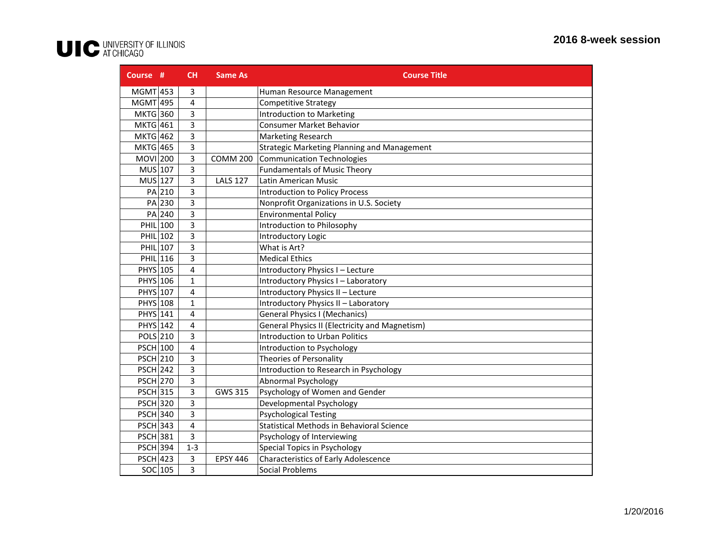| Course #        |        | CH             | <b>Same As</b>  | <b>Course Title</b>                                   |
|-----------------|--------|----------------|-----------------|-------------------------------------------------------|
| $MGMT$ 453      |        | 3              |                 | Human Resource Management                             |
| MGMT 495        |        | 4              |                 | <b>Competitive Strategy</b>                           |
| MKTG 360        |        | 3              |                 | <b>Introduction to Marketing</b>                      |
| <b>MKTG</b> 461 |        | 3              |                 | <b>Consumer Market Behavior</b>                       |
| <b>MKTG 462</b> |        | 3              |                 | Marketing Research                                    |
| <b>MKTG</b> 465 |        | 3              |                 | Strategic Marketing Planning and Management           |
| MOVI 200        |        | 3              | <b>COMM 200</b> | <b>Communication Technologies</b>                     |
| MUS 107         |        | 3              |                 | <b>Fundamentals of Music Theory</b>                   |
| $MUS$ 127       |        | 3              | <b>LALS 127</b> | Latin American Music                                  |
|                 | PA 210 | 3              |                 | <b>Introduction to Policy Process</b>                 |
|                 | PA 230 | 3              |                 | Nonprofit Organizations in U.S. Society               |
|                 | PA 240 | 3              |                 | <b>Environmental Policy</b>                           |
| PHIL 100        |        | 3              |                 | Introduction to Philosophy                            |
| PHIL 102        |        | 3              |                 | Introductory Logic                                    |
| PHIL 107        |        | 3              |                 | What is Art?                                          |
| PHIL 116        |        | 3              |                 | <b>Medical Ethics</b>                                 |
| PHYS 105        |        | 4              |                 | Introductory Physics I - Lecture                      |
| PHYS 106        |        | $\mathbf{1}$   |                 | Introductory Physics I - Laboratory                   |
| PHYS 107        |        | 4              |                 | Introductory Physics II - Lecture                     |
| PHYS 108        |        | $\mathbf{1}$   |                 | Introductory Physics II - Laboratory                  |
| <b>PHYS</b> 141 |        | 4              |                 | <b>General Physics I (Mechanics)</b>                  |
| PHYS 142        |        | 4              |                 | <b>General Physics II (Electricity and Magnetism)</b> |
| POLS 210        |        | 3              |                 | <b>Introduction to Urban Politics</b>                 |
| <b>PSCH 100</b> |        | 4              |                 | Introduction to Psychology                            |
| <b>PSCH 210</b> |        | 3              |                 | Theories of Personality                               |
| <b>PSCH 242</b> |        | 3              |                 | Introduction to Research in Psychology                |
| <b>PSCH 270</b> |        | 3              |                 | <b>Abnormal Psychology</b>                            |
| <b>PSCH 315</b> |        | 3              | GWS 315         | Psychology of Women and Gender                        |
| <b>PSCH 320</b> |        | 3              |                 | Developmental Psychology                              |
| <b>PSCH 340</b> |        | 3              |                 | <b>Psychological Testing</b>                          |
| $PSCH$ 343      |        | $\overline{4}$ |                 | Statistical Methods in Behavioral Science             |
| <b>PSCH 381</b> |        | 3              |                 | Psychology of Interviewing                            |
| <b>PSCH 394</b> |        | $1 - 3$        |                 | Special Topics in Psychology                          |
| <b>PSCH 423</b> |        | 3              | <b>EPSY 446</b> | <b>Characteristics of Early Adolescence</b>           |
| $SOC$ 105       |        | 3              |                 | <b>Social Problems</b>                                |